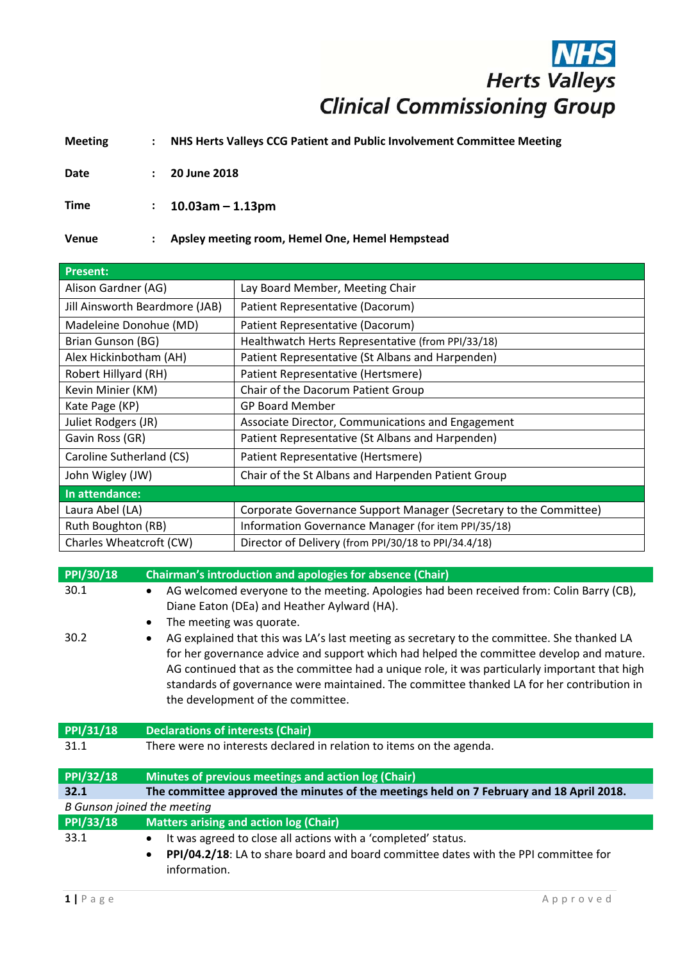## **Herts Valleys Clinical Commissioning Group**

**Meeting : NHS Herts Valleys CCG Patient and Public Involvement Committee Meeting**

**Date : 20 June 2018**

**Time : 10.03am – 1.13pm**

**Venue : Apsley meeting room, Hemel One, Hemel Hempstead**

| <b>Present:</b>                |                                                                   |  |
|--------------------------------|-------------------------------------------------------------------|--|
| Alison Gardner (AG)            | Lay Board Member, Meeting Chair                                   |  |
| Jill Ainsworth Beardmore (JAB) | Patient Representative (Dacorum)                                  |  |
| Madeleine Donohue (MD)         | Patient Representative (Dacorum)                                  |  |
| Brian Gunson (BG)              | Healthwatch Herts Representative (from PPI/33/18)                 |  |
| Alex Hickinbotham (AH)         | Patient Representative (St Albans and Harpenden)                  |  |
| Robert Hillyard (RH)           | Patient Representative (Hertsmere)                                |  |
| Kevin Minier (KM)              | Chair of the Dacorum Patient Group                                |  |
| Kate Page (KP)                 | <b>GP Board Member</b>                                            |  |
| Juliet Rodgers (JR)            | Associate Director, Communications and Engagement                 |  |
| Gavin Ross (GR)                | Patient Representative (St Albans and Harpenden)                  |  |
| Caroline Sutherland (CS)       | Patient Representative (Hertsmere)                                |  |
| John Wigley (JW)               | Chair of the St Albans and Harpenden Patient Group                |  |
| In attendance:                 |                                                                   |  |
| Laura Abel (LA)                | Corporate Governance Support Manager (Secretary to the Committee) |  |
| Ruth Boughton (RB)             | Information Governance Manager (for item PPI/35/18)               |  |
| Charles Wheatcroft (CW)        | Director of Delivery (from PPI/30/18 to PPI/34.4/18)              |  |

| PPI/30/18                          | Chairman's introduction and apologies for absence (Chair)                                                                                                                                                                                                                                                                                                                                                                              |
|------------------------------------|----------------------------------------------------------------------------------------------------------------------------------------------------------------------------------------------------------------------------------------------------------------------------------------------------------------------------------------------------------------------------------------------------------------------------------------|
| 30.1                               | AG welcomed everyone to the meeting. Apologies had been received from: Colin Barry (CB),<br>Diane Eaton (DEa) and Heather Aylward (HA).<br>The meeting was quorate.<br>$\bullet$                                                                                                                                                                                                                                                       |
| 30.2                               | AG explained that this was LA's last meeting as secretary to the committee. She thanked LA<br>$\bullet$<br>for her governance advice and support which had helped the committee develop and mature.<br>AG continued that as the committee had a unique role, it was particularly important that high<br>standards of governance were maintained. The committee thanked LA for her contribution in<br>the development of the committee. |
| PPI/31/18                          | <b>Declarations of interests (Chair)</b>                                                                                                                                                                                                                                                                                                                                                                                               |
| 31.1                               | There were no interests declared in relation to items on the agenda.                                                                                                                                                                                                                                                                                                                                                                   |
| <b>PPI/32/18</b>                   | Minutes of previous meetings and action log (Chair)                                                                                                                                                                                                                                                                                                                                                                                    |
| 32.1                               | The committee approved the minutes of the meetings held on 7 February and 18 April 2018.                                                                                                                                                                                                                                                                                                                                               |
| <b>B</b> Gunson joined the meeting |                                                                                                                                                                                                                                                                                                                                                                                                                                        |
| PPI/33/18                          | <b>Matters arising and action log (Chair)</b>                                                                                                                                                                                                                                                                                                                                                                                          |
| 33.1                               | It was agreed to close all actions with a 'completed' status.<br>$\bullet$<br>PPI/04.2/18: LA to share board and board committee dates with the PPI committee for<br>$\bullet$<br>information.                                                                                                                                                                                                                                         |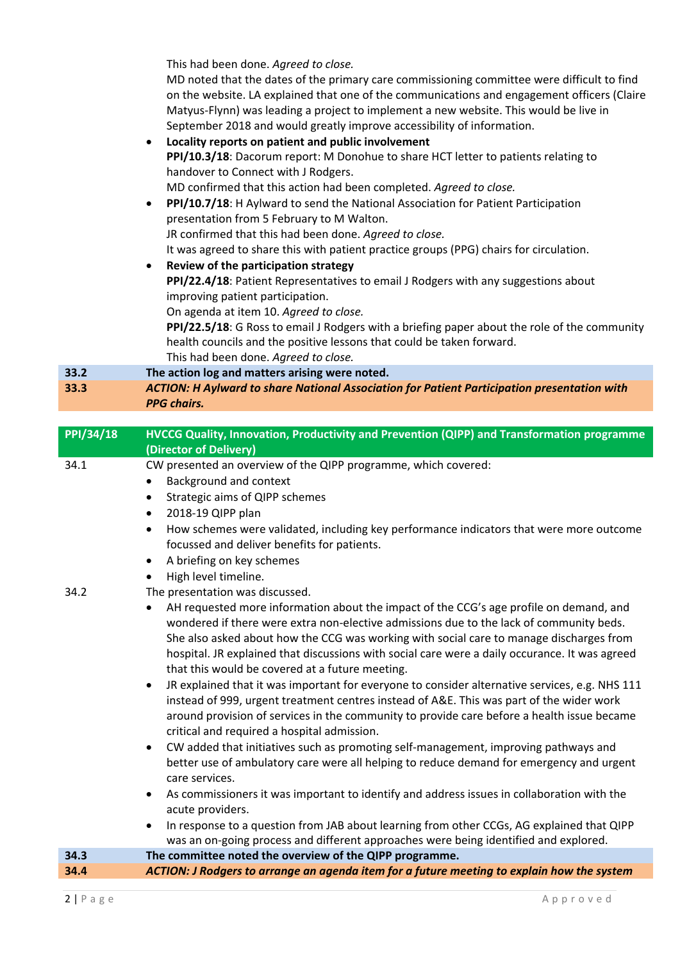This had been done. *Agreed to close.*

MD noted that the dates of the primary care commissioning committee were difficult to find on the website. LA explained that one of the communications and engagement officers (Claire Matyus‐Flynn) was leading a project to implement a new website. This would be live in September 2018 and would greatly improve accessibility of information.

|      | September 2018 and would greatly improve accessibility of information.                             |
|------|----------------------------------------------------------------------------------------------------|
|      | Locality reports on patient and public involvement<br>$\bullet$                                    |
|      | PPI/10.3/18: Dacorum report: M Donohue to share HCT letter to patients relating to                 |
|      | handover to Connect with J Rodgers.                                                                |
|      | MD confirmed that this action had been completed. Agreed to close.                                 |
|      | PPI/10.7/18: H Aylward to send the National Association for Patient Participation<br>$\bullet$     |
|      | presentation from 5 February to M Walton.                                                          |
|      | JR confirmed that this had been done. Agreed to close.                                             |
|      | It was agreed to share this with patient practice groups (PPG) chairs for circulation.             |
|      | Review of the participation strategy<br>$\bullet$                                                  |
|      | PPI/22.4/18: Patient Representatives to email J Rodgers with any suggestions about                 |
|      | improving patient participation.                                                                   |
|      | On agenda at item 10. Agreed to close.                                                             |
|      | PPI/22.5/18: G Ross to email J Rodgers with a briefing paper about the role of the community       |
|      | health councils and the positive lessons that could be taken forward.                              |
|      | This had been done. Agreed to close.                                                               |
| 33.2 | The action log and matters arising were noted.                                                     |
| 33.3 | <b>ACTION: H Aylward to share National Association for Patient Participation presentation with</b> |
|      | <b>PPG chairs.</b>                                                                                 |

| <b>PPI/34/18</b> | HVCCG Quality, Innovation, Productivity and Prevention (QIPP) and Transformation programme                                                                                                                                                                                                                                                                                                                                                                                                                                                                                                                                                                                                                                                                                                                                                                                                    |
|------------------|-----------------------------------------------------------------------------------------------------------------------------------------------------------------------------------------------------------------------------------------------------------------------------------------------------------------------------------------------------------------------------------------------------------------------------------------------------------------------------------------------------------------------------------------------------------------------------------------------------------------------------------------------------------------------------------------------------------------------------------------------------------------------------------------------------------------------------------------------------------------------------------------------|
|                  | (Director of Delivery)                                                                                                                                                                                                                                                                                                                                                                                                                                                                                                                                                                                                                                                                                                                                                                                                                                                                        |
| 34.1             | CW presented an overview of the QIPP programme, which covered:                                                                                                                                                                                                                                                                                                                                                                                                                                                                                                                                                                                                                                                                                                                                                                                                                                |
|                  | Background and context                                                                                                                                                                                                                                                                                                                                                                                                                                                                                                                                                                                                                                                                                                                                                                                                                                                                        |
|                  | Strategic aims of QIPP schemes<br>$\bullet$                                                                                                                                                                                                                                                                                                                                                                                                                                                                                                                                                                                                                                                                                                                                                                                                                                                   |
|                  | 2018-19 QIPP plan<br>$\bullet$                                                                                                                                                                                                                                                                                                                                                                                                                                                                                                                                                                                                                                                                                                                                                                                                                                                                |
|                  | How schemes were validated, including key performance indicators that were more outcome<br>$\bullet$                                                                                                                                                                                                                                                                                                                                                                                                                                                                                                                                                                                                                                                                                                                                                                                          |
|                  | focussed and deliver benefits for patients.                                                                                                                                                                                                                                                                                                                                                                                                                                                                                                                                                                                                                                                                                                                                                                                                                                                   |
|                  | A briefing on key schemes<br>$\bullet$                                                                                                                                                                                                                                                                                                                                                                                                                                                                                                                                                                                                                                                                                                                                                                                                                                                        |
|                  | High level timeline.<br>$\bullet$                                                                                                                                                                                                                                                                                                                                                                                                                                                                                                                                                                                                                                                                                                                                                                                                                                                             |
| 34.2             | The presentation was discussed.                                                                                                                                                                                                                                                                                                                                                                                                                                                                                                                                                                                                                                                                                                                                                                                                                                                               |
|                  | AH requested more information about the impact of the CCG's age profile on demand, and<br>wondered if there were extra non-elective admissions due to the lack of community beds.<br>She also asked about how the CCG was working with social care to manage discharges from<br>hospital. JR explained that discussions with social care were a daily occurance. It was agreed<br>that this would be covered at a future meeting.<br>JR explained that it was important for everyone to consider alternative services, e.g. NHS 111<br>$\bullet$<br>instead of 999, urgent treatment centres instead of A&E. This was part of the wider work<br>around provision of services in the community to provide care before a health issue became<br>critical and required a hospital admission.<br>CW added that initiatives such as promoting self-management, improving pathways and<br>$\bullet$ |
|                  | better use of ambulatory care were all helping to reduce demand for emergency and urgent<br>care services.                                                                                                                                                                                                                                                                                                                                                                                                                                                                                                                                                                                                                                                                                                                                                                                    |
|                  | As commissioners it was important to identify and address issues in collaboration with the<br>$\bullet$<br>acute providers.                                                                                                                                                                                                                                                                                                                                                                                                                                                                                                                                                                                                                                                                                                                                                                   |
|                  | In response to a question from JAB about learning from other CCGs, AG explained that QIPP                                                                                                                                                                                                                                                                                                                                                                                                                                                                                                                                                                                                                                                                                                                                                                                                     |
|                  | was an on-going process and different approaches were being identified and explored.                                                                                                                                                                                                                                                                                                                                                                                                                                                                                                                                                                                                                                                                                                                                                                                                          |
| 34.3             | The committee noted the overview of the QIPP programme.                                                                                                                                                                                                                                                                                                                                                                                                                                                                                                                                                                                                                                                                                                                                                                                                                                       |
| 34.4             | ACTION: J Rodgers to arrange an agenda item for a future meeting to explain how the system                                                                                                                                                                                                                                                                                                                                                                                                                                                                                                                                                                                                                                                                                                                                                                                                    |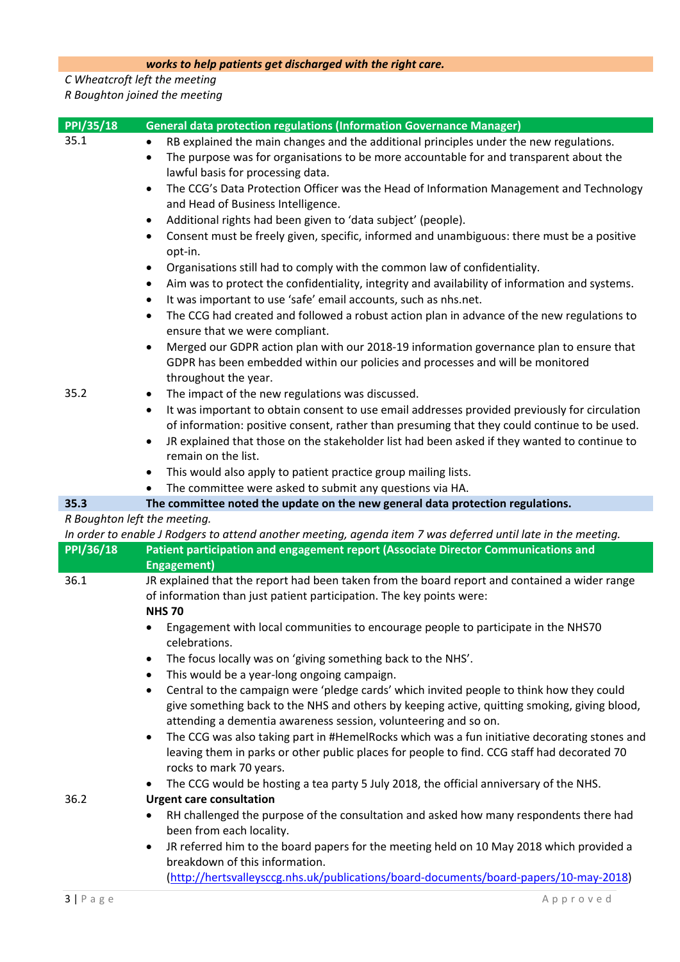## *works to help patients get discharged with the right care.*

## *C Wheatcroft left the meeting R Boughton joined the meeting*

| <b>PPI/35/18</b>             | <b>General data protection regulations (Information Governance Manager)</b>                                                                                           |
|------------------------------|-----------------------------------------------------------------------------------------------------------------------------------------------------------------------|
| 35.1                         | RB explained the main changes and the additional principles under the new regulations.<br>٠                                                                           |
|                              | The purpose was for organisations to be more accountable for and transparent about the<br>$\bullet$                                                                   |
|                              | lawful basis for processing data.                                                                                                                                     |
|                              | The CCG's Data Protection Officer was the Head of Information Management and Technology<br>$\bullet$                                                                  |
|                              | and Head of Business Intelligence.                                                                                                                                    |
|                              | Additional rights had been given to 'data subject' (people).<br>٠                                                                                                     |
|                              | Consent must be freely given, specific, informed and unambiguous: there must be a positive<br>$\bullet$                                                               |
|                              | opt-in.                                                                                                                                                               |
|                              | Organisations still had to comply with the common law of confidentiality.<br>$\bullet$                                                                                |
|                              | Aim was to protect the confidentiality, integrity and availability of information and systems.<br>٠                                                                   |
|                              | It was important to use 'safe' email accounts, such as nhs.net.<br>$\bullet$                                                                                          |
|                              | The CCG had created and followed a robust action plan in advance of the new regulations to<br>$\bullet$                                                               |
|                              | ensure that we were compliant.                                                                                                                                        |
|                              | Merged our GDPR action plan with our 2018-19 information governance plan to ensure that                                                                               |
|                              | GDPR has been embedded within our policies and processes and will be monitored                                                                                        |
|                              | throughout the year.                                                                                                                                                  |
| 35.2                         | The impact of the new regulations was discussed.<br>$\bullet$                                                                                                         |
|                              | It was important to obtain consent to use email addresses provided previously for circulation<br>$\bullet$                                                            |
|                              | of information: positive consent, rather than presuming that they could continue to be used.                                                                          |
|                              | JR explained that those on the stakeholder list had been asked if they wanted to continue to<br>$\bullet$                                                             |
|                              | remain on the list.                                                                                                                                                   |
|                              | This would also apply to patient practice group mailing lists.<br>$\bullet$                                                                                           |
|                              | The committee were asked to submit any questions via HA.                                                                                                              |
| 35.3                         | The committee noted the update on the new general data protection regulations.                                                                                        |
| R Boughton left the meeting. |                                                                                                                                                                       |
|                              | In order to enable J Rodgers to attend another meeting, agenda item 7 was deferred until late in the meeting.                                                         |
| <b>PPI/36/18</b>             | Patient participation and engagement report (Associate Director Communications and                                                                                    |
|                              | <b>Engagement)</b>                                                                                                                                                    |
| 36.1                         | JR explained that the report had been taken from the board report and contained a wider range<br>of information than just patient participation. The key points were: |
|                              | <b>NHS70</b>                                                                                                                                                          |
|                              | Engagement with local communities to encourage people to participate in the NHS70                                                                                     |
|                              | celebrations.                                                                                                                                                         |
|                              | The focus locally was on 'giving something back to the NHS'.<br>$\bullet$                                                                                             |
|                              | This would be a year-long ongoing campaign.<br>$\bullet$                                                                                                              |
|                              | Central to the campaign were 'pledge cards' which invited people to think how they could<br>$\bullet$                                                                 |
|                              | give something back to the NHS and others by keeping active, quitting smoking, giving blood,                                                                          |
|                              | attending a dementia awareness session, volunteering and so on.                                                                                                       |
|                              | The CCG was also taking part in #HemelRocks which was a fun initiative decorating stones and<br>$\bullet$                                                             |
|                              | leaving them in parks or other public places for people to find. CCG staff had decorated 70                                                                           |
|                              | rocks to mark 70 years.                                                                                                                                               |
|                              | The CCG would be hosting a tea party 5 July 2018, the official anniversary of the NHS.                                                                                |
| 36.2                         | <b>Urgent care consultation</b>                                                                                                                                       |
|                              | RH challenged the purpose of the consultation and asked how many respondents there had<br>$\bullet$                                                                   |
|                              | been from each locality.                                                                                                                                              |
|                              | JR referred him to the board papers for the meeting held on 10 May 2018 which provided a<br>$\bullet$                                                                 |
|                              | breakdown of this information.                                                                                                                                        |
|                              | (http://hertsvalleysccg.nhs.uk/publications/board-documents/board-papers/10-may-2018)                                                                                 |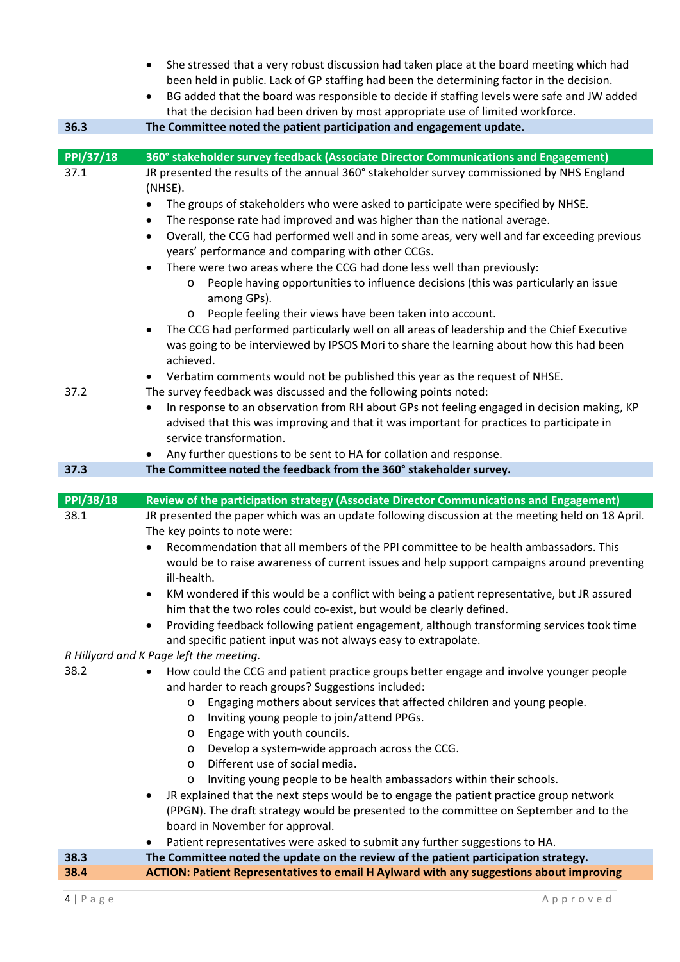|                  | She stressed that a very robust discussion had taken place at the board meeting which had                                                                                                          |
|------------------|----------------------------------------------------------------------------------------------------------------------------------------------------------------------------------------------------|
|                  | been held in public. Lack of GP staffing had been the determining factor in the decision.                                                                                                          |
|                  | BG added that the board was responsible to decide if staffing levels were safe and JW added<br>$\bullet$                                                                                           |
|                  | that the decision had been driven by most appropriate use of limited workforce.                                                                                                                    |
| 36.3             | The Committee noted the patient participation and engagement update.                                                                                                                               |
|                  |                                                                                                                                                                                                    |
| <b>PPI/37/18</b> | 360° stakeholder survey feedback (Associate Director Communications and Engagement)                                                                                                                |
| 37.1             | JR presented the results of the annual 360° stakeholder survey commissioned by NHS England<br>(NHSE).                                                                                              |
|                  | The groups of stakeholders who were asked to participate were specified by NHSE.                                                                                                                   |
|                  | The response rate had improved and was higher than the national average.<br>٠                                                                                                                      |
|                  | Overall, the CCG had performed well and in some areas, very well and far exceeding previous<br>$\bullet$                                                                                           |
|                  | years' performance and comparing with other CCGs.                                                                                                                                                  |
|                  | There were two areas where the CCG had done less well than previously:<br>$\bullet$<br>People having opportunities to influence decisions (this was particularly an issue                          |
|                  | among GPs).                                                                                                                                                                                        |
|                  | People feeling their views have been taken into account.<br>$\circ$                                                                                                                                |
|                  | The CCG had performed particularly well on all areas of leadership and the Chief Executive<br>$\bullet$<br>was going to be interviewed by IPSOS Mori to share the learning about how this had been |
|                  | achieved.                                                                                                                                                                                          |
|                  | Verbatim comments would not be published this year as the request of NHSE.                                                                                                                         |
| 37.2             | The survey feedback was discussed and the following points noted:                                                                                                                                  |
|                  | In response to an observation from RH about GPs not feeling engaged in decision making, KP                                                                                                         |
|                  | advised that this was improving and that it was important for practices to participate in                                                                                                          |
|                  | service transformation.                                                                                                                                                                            |
|                  | Any further questions to be sent to HA for collation and response.                                                                                                                                 |
| 37.3             |                                                                                                                                                                                                    |
|                  | The Committee noted the feedback from the 360° stakeholder survey.                                                                                                                                 |
|                  |                                                                                                                                                                                                    |
| PPI/38/18        | Review of the participation strategy (Associate Director Communications and Engagement)                                                                                                            |
| 38.1             | JR presented the paper which was an update following discussion at the meeting held on 18 April.                                                                                                   |
|                  | The key points to note were:                                                                                                                                                                       |
|                  | Recommendation that all members of the PPI committee to be health ambassadors. This<br>would be to raise awareness of current issues and help support campaigns around preventing                  |
|                  | ill-health.                                                                                                                                                                                        |
|                  | KM wondered if this would be a conflict with being a patient representative, but JR assured<br>٠                                                                                                   |
|                  | him that the two roles could co-exist, but would be clearly defined.                                                                                                                               |
|                  | Providing feedback following patient engagement, although transforming services took time<br>$\bullet$                                                                                             |
|                  | and specific patient input was not always easy to extrapolate.                                                                                                                                     |
|                  | R Hillyard and K Page left the meeting.                                                                                                                                                            |
| 38.2             | How could the CCG and patient practice groups better engage and involve younger people                                                                                                             |
|                  | and harder to reach groups? Suggestions included:                                                                                                                                                  |
|                  | Engaging mothers about services that affected children and young people.<br>$\circ$                                                                                                                |
|                  | Inviting young people to join/attend PPGs.<br>O<br>O                                                                                                                                               |
|                  | Engage with youth councils.<br>$\circ$                                                                                                                                                             |
|                  | Develop a system-wide approach across the CCG.<br>Different use of social media.<br>$\circ$                                                                                                        |
|                  | Inviting young people to be health ambassadors within their schools.<br>$\circ$                                                                                                                    |
|                  | JR explained that the next steps would be to engage the patient practice group network<br>٠                                                                                                        |
|                  | (PPGN). The draft strategy would be presented to the committee on September and to the                                                                                                             |
|                  | board in November for approval.                                                                                                                                                                    |
|                  | Patient representatives were asked to submit any further suggestions to HA.                                                                                                                        |
| 38.3<br>38.4     | The Committee noted the update on the review of the patient participation strategy.<br><b>ACTION: Patient Representatives to email H Aylward with any suggestions about improving</b>              |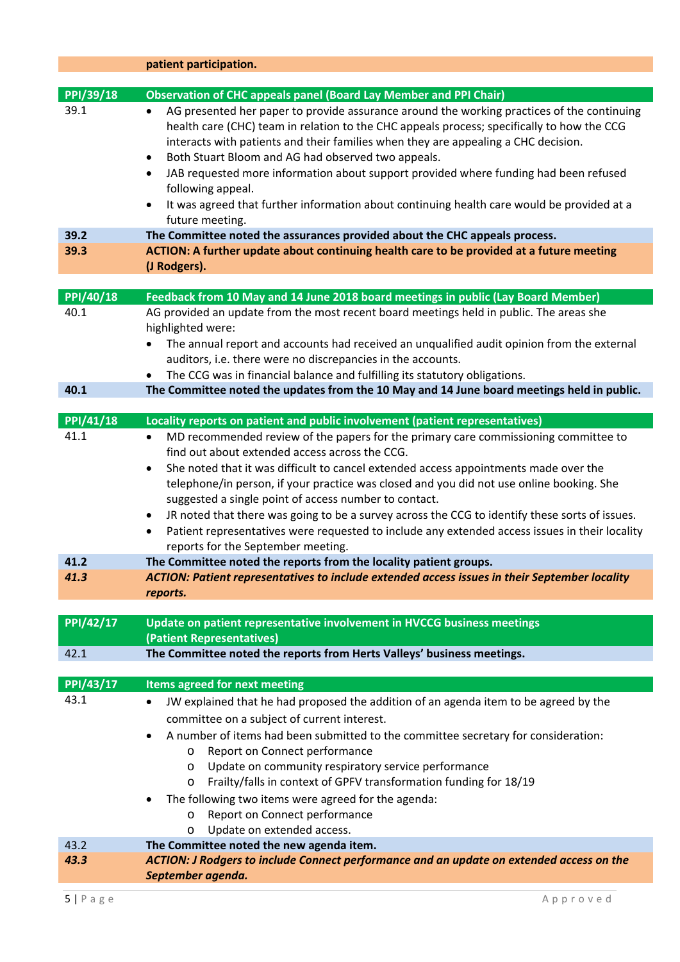|                  | patient participation.                                                                                                                                                                                                                                                                                                                                                                                                                                 |
|------------------|--------------------------------------------------------------------------------------------------------------------------------------------------------------------------------------------------------------------------------------------------------------------------------------------------------------------------------------------------------------------------------------------------------------------------------------------------------|
| PPI/39/18        | <b>Observation of CHC appeals panel (Board Lay Member and PPI Chair)</b>                                                                                                                                                                                                                                                                                                                                                                               |
| 39.1             | AG presented her paper to provide assurance around the working practices of the continuing<br>$\bullet$<br>health care (CHC) team in relation to the CHC appeals process; specifically to how the CCG<br>interacts with patients and their families when they are appealing a CHC decision.<br>Both Stuart Bloom and AG had observed two appeals.<br>$\bullet$<br>JAB requested more information about support provided where funding had been refused |
|                  | ٠<br>following appeal.                                                                                                                                                                                                                                                                                                                                                                                                                                 |
|                  | It was agreed that further information about continuing health care would be provided at a<br>future meeting.                                                                                                                                                                                                                                                                                                                                          |
| 39.2             | The Committee noted the assurances provided about the CHC appeals process.                                                                                                                                                                                                                                                                                                                                                                             |
| 39.3             | ACTION: A further update about continuing health care to be provided at a future meeting                                                                                                                                                                                                                                                                                                                                                               |
|                  | (J Rodgers).                                                                                                                                                                                                                                                                                                                                                                                                                                           |
| PPI/40/18        | Feedback from 10 May and 14 June 2018 board meetings in public (Lay Board Member)                                                                                                                                                                                                                                                                                                                                                                      |
| 40.1             | AG provided an update from the most recent board meetings held in public. The areas she                                                                                                                                                                                                                                                                                                                                                                |
|                  | highlighted were:                                                                                                                                                                                                                                                                                                                                                                                                                                      |
|                  | The annual report and accounts had received an unqualified audit opinion from the external                                                                                                                                                                                                                                                                                                                                                             |
|                  | auditors, i.e. there were no discrepancies in the accounts.                                                                                                                                                                                                                                                                                                                                                                                            |
|                  | The CCG was in financial balance and fulfilling its statutory obligations.<br>$\bullet$                                                                                                                                                                                                                                                                                                                                                                |
| 40.1             | The Committee noted the updates from the 10 May and 14 June board meetings held in public.                                                                                                                                                                                                                                                                                                                                                             |
| <b>PPI/41/18</b> |                                                                                                                                                                                                                                                                                                                                                                                                                                                        |
| 41.1             | Locality reports on patient and public involvement (patient representatives)<br>MD recommended review of the papers for the primary care commissioning committee to<br>$\bullet$                                                                                                                                                                                                                                                                       |
|                  | find out about extended access across the CCG.                                                                                                                                                                                                                                                                                                                                                                                                         |
|                  | She noted that it was difficult to cancel extended access appointments made over the<br>٠                                                                                                                                                                                                                                                                                                                                                              |
|                  | telephone/in person, if your practice was closed and you did not use online booking. She                                                                                                                                                                                                                                                                                                                                                               |
|                  | suggested a single point of access number to contact.                                                                                                                                                                                                                                                                                                                                                                                                  |
|                  | JR noted that there was going to be a survey across the CCG to identify these sorts of issues.<br>$\bullet$                                                                                                                                                                                                                                                                                                                                            |
|                  | Patient representatives were requested to include any extended access issues in their locality<br>$\bullet$                                                                                                                                                                                                                                                                                                                                            |
|                  | reports for the September meeting.                                                                                                                                                                                                                                                                                                                                                                                                                     |
| 41.2             | The Committee noted the reports from the locality patient groups.                                                                                                                                                                                                                                                                                                                                                                                      |
| 41.3             | ACTION: Patient representatives to include extended access issues in their September locality                                                                                                                                                                                                                                                                                                                                                          |
|                  | reports.                                                                                                                                                                                                                                                                                                                                                                                                                                               |
| PPI/42/17        | Update on patient representative involvement in HVCCG business meetings                                                                                                                                                                                                                                                                                                                                                                                |
|                  | (Patient Representatives)                                                                                                                                                                                                                                                                                                                                                                                                                              |
| 42.1             | The Committee noted the reports from Herts Valleys' business meetings.                                                                                                                                                                                                                                                                                                                                                                                 |
| PPI/43/17        | <b>Items agreed for next meeting</b>                                                                                                                                                                                                                                                                                                                                                                                                                   |
| 43.1             | JW explained that he had proposed the addition of an agenda item to be agreed by the                                                                                                                                                                                                                                                                                                                                                                   |
|                  |                                                                                                                                                                                                                                                                                                                                                                                                                                                        |
|                  | committee on a subject of current interest.                                                                                                                                                                                                                                                                                                                                                                                                            |
|                  | A number of items had been submitted to the committee secretary for consideration:<br>Report on Connect performance<br>O                                                                                                                                                                                                                                                                                                                               |
|                  | Update on community respiratory service performance<br>$\circ$                                                                                                                                                                                                                                                                                                                                                                                         |
|                  | Frailty/falls in context of GPFV transformation funding for 18/19<br>O                                                                                                                                                                                                                                                                                                                                                                                 |
|                  | The following two items were agreed for the agenda:                                                                                                                                                                                                                                                                                                                                                                                                    |
|                  | Report on Connect performance<br>O                                                                                                                                                                                                                                                                                                                                                                                                                     |
|                  | Update on extended access.<br>O                                                                                                                                                                                                                                                                                                                                                                                                                        |
| 43.2             | The Committee noted the new agenda item.                                                                                                                                                                                                                                                                                                                                                                                                               |
| 43.3             | ACTION: J Rodgers to include Connect performance and an update on extended access on the                                                                                                                                                                                                                                                                                                                                                               |
|                  | September agenda.                                                                                                                                                                                                                                                                                                                                                                                                                                      |